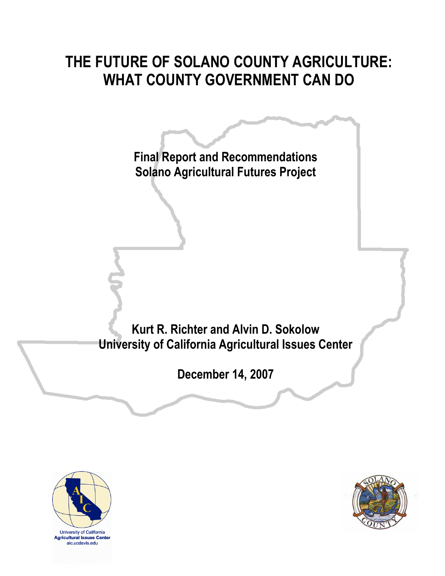## **THE FUTURE OF SOLANO COUNTY AGRICULTURE: WHAT COUNTY GOVERNMENT CAN DO**

**Final Report and Recommendations Solano Agricultural Futures Project Kurt R. Richter and Alvin D. Sokolow University of California Agricultural Issues Center December 14, 2007**



**Agricultural Issues Center** aic.ucdavis.edu

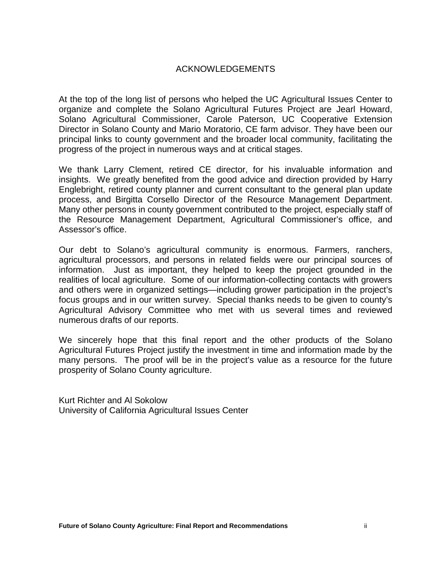#### ACKNOWLEDGEMENTS

At the top of the long list of persons who helped the UC Agricultural Issues Center to organize and complete the Solano Agricultural Futures Project are Jearl Howard, Solano Agricultural Commissioner, Carole Paterson, UC Cooperative Extension Director in Solano County and Mario Moratorio, CE farm advisor. They have been our principal links to county government and the broader local community, facilitating the progress of the project in numerous ways and at critical stages.

We thank Larry Clement, retired CE director, for his invaluable information and insights. We greatly benefited from the good advice and direction provided by Harry Englebright, retired county planner and current consultant to the general plan update process, and Birgitta Corsello Director of the Resource Management Department. Many other persons in county government contributed to the project, especially staff of the Resource Management Department, Agricultural Commissioner's office, and Assessor's office.

Our debt to Solano's agricultural community is enormous. Farmers, ranchers, agricultural processors, and persons in related fields were our principal sources of information. Just as important, they helped to keep the project grounded in the realities of local agriculture. Some of our information-collecting contacts with growers and others were in organized settings—including grower participation in the project's focus groups and in our written survey. Special thanks needs to be given to county's Agricultural Advisory Committee who met with us several times and reviewed numerous drafts of our reports.

We sincerely hope that this final report and the other products of the Solano Agricultural Futures Project justify the investment in time and information made by the many persons. The proof will be in the project's value as a resource for the future prosperity of Solano County agriculture.

Kurt Richter and Al Sokolow University of California Agricultural Issues Center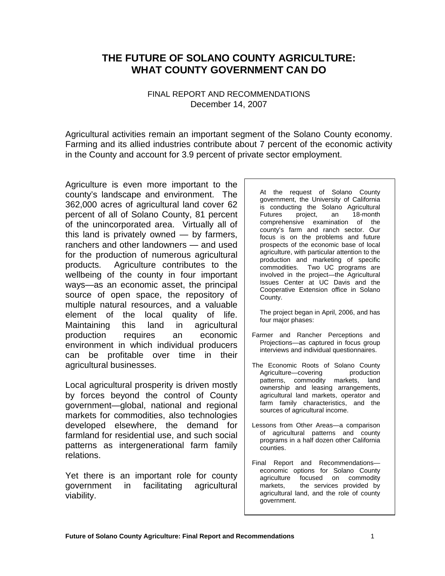### **THE FUTURE OF SOLANO COUNTY AGRICULTURE: WHAT COUNTY GOVERNMENT CAN DO**

#### FINAL REPORT AND RECOMMENDATIONS December 14, 2007

Agricultural activities remain an important segment of the Solano County economy. Farming and its allied industries contribute about 7 percent of the economic activity in the County and account for 3.9 percent of private sector employment.

Agriculture is even more important to the county's landscape and environment. The 362,000 acres of agricultural land cover 62 percent of all of Solano County, 81 percent of the unincorporated area. Virtually all of this land is privately owned — by farmers, ranchers and other landowners — and used for the production of numerous agricultural products. Agriculture contributes to the wellbeing of the county in four important ways—as an economic asset, the principal source of open space, the repository of multiple natural resources, and a valuable element of the local quality of life. Maintaining this land in agricultural production requires an economic environment in which individual producers can be profitable over time in their agricultural businesses.

Local agricultural prosperity is driven mostly by forces beyond the control of County government—global, national and regional markets for commodities, also technologies developed elsewhere, the demand for farmland for residential use, and such social patterns as intergenerational farm family relations.

Yet there is an important role for county government in facilitating agricultural viability.

At the request of Solano County government, the University of California is conducting the Solano Agricultural Futures project, an 18-month comprehensive examination of the county's farm and ranch sector. Our focus is on the problems and future prospects of the economic base of local agriculture, with particular attention to the production and marketing of specific commodities. Two UC programs are involved in the project—the Agricultural Issues Center at UC Davis and the Cooperative Extension office in Solano County.

The project began in April, 2006, and has four major phases:

- Farmer and Rancher Perceptions and Projections—as captured in focus group interviews and individual questionnaires.
- The Economic Roots of Solano County Agriculture—covering production patterns, commodity markets, land ownership and leasing arrangements, agricultural land markets, operator and farm family characteristics, and the sources of agricultural income.
- Lessons from Other Areas—a comparison of agricultural patterns and county programs in a half dozen other California counties.
- Final Report and Recommendations economic options for Solano County agriculture focused on commodity markets, the services provided by agricultural land, and the role of county government.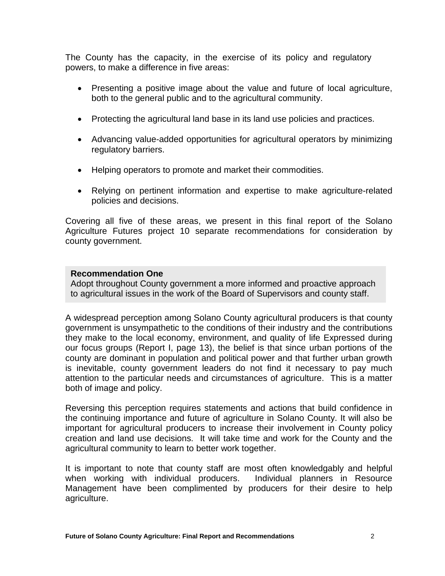The County has the capacity, in the exercise of its policy and regulatory powers, to make a difference in five areas:

- Presenting a positive image about the value and future of local agriculture, both to the general public and to the agricultural community.
- Protecting the agricultural land base in its land use policies and practices.
- Advancing value-added opportunities for agricultural operators by minimizing regulatory barriers.
- Helping operators to promote and market their commodities.
- Relying on pertinent information and expertise to make agriculture-related policies and decisions.

Covering all five of these areas, we present in this final report of the Solano Agriculture Futures project 10 separate recommendations for consideration by county government.

#### **Recommendation One**

Adopt throughout County government a more informed and proactive approach to agricultural issues in the work of the Board of Supervisors and county staff.

A widespread perception among Solano County agricultural producers is that county government is unsympathetic to the conditions of their industry and the contributions they make to the local economy, environment, and quality of life Expressed during our focus groups (Report I, page 13), the belief is that since urban portions of the county are dominant in population and political power and that further urban growth is inevitable, county government leaders do not find it necessary to pay much attention to the particular needs and circumstances of agriculture. This is a matter both of image and policy.

Reversing this perception requires statements and actions that build confidence in the continuing importance and future of agriculture in Solano County. It will also be important for agricultural producers to increase their involvement in County policy creation and land use decisions. It will take time and work for the County and the agricultural community to learn to better work together.

It is important to note that county staff are most often knowledgably and helpful when working with individual producers. Individual planners in Resource Management have been complimented by producers for their desire to help agriculture.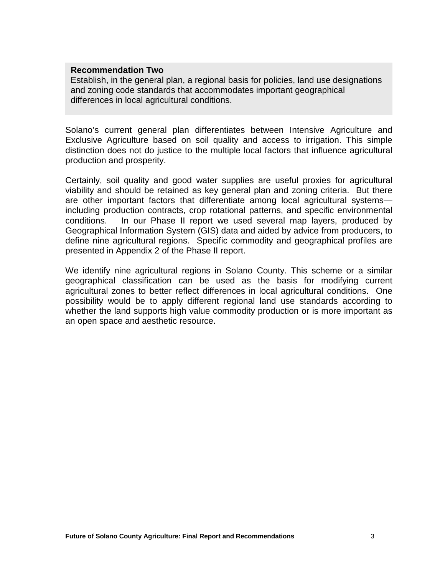#### **Recommendation Two**

Establish, in the general plan, a regional basis for policies, land use designations and zoning code standards that accommodates important geographical differences in local agricultural conditions.

Solano's current general plan differentiates between Intensive Agriculture and Exclusive Agriculture based on soil quality and access to irrigation. This simple distinction does not do justice to the multiple local factors that influence agricultural production and prosperity.

Certainly, soil quality and good water supplies are useful proxies for agricultural viability and should be retained as key general plan and zoning criteria. But there are other important factors that differentiate among local agricultural systems including production contracts, crop rotational patterns, and specific environmental conditions. In our Phase II report we used several map layers, produced by Geographical Information System (GIS) data and aided by advice from producers, to define nine agricultural regions. Specific commodity and geographical profiles are presented in Appendix 2 of the Phase II report.

We identify nine agricultural regions in Solano County. This scheme or a similar geographical classification can be used as the basis for modifying current agricultural zones to better reflect differences in local agricultural conditions. One possibility would be to apply different regional land use standards according to whether the land supports high value commodity production or is more important as an open space and aesthetic resource.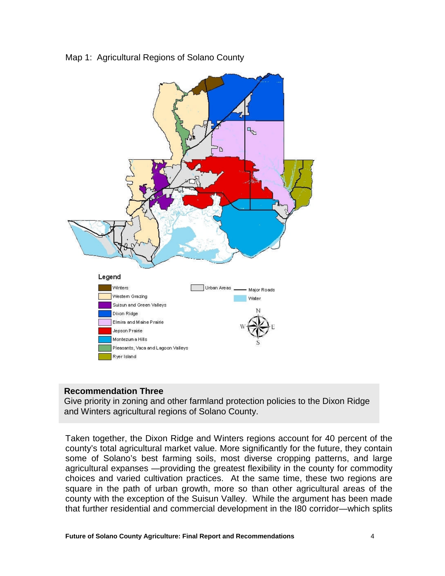Map 1: Agricultural Regions of Solano County



#### **Recommendation Three**

Give priority in zoning and other farmland protection policies to the Dixon Ridge and Winters agricultural regions of Solano County.

Taken together, the Dixon Ridge and Winters regions account for 40 percent of the county's total agricultural market value. More significantly for the future, they contain some of Solano's best farming soils, most diverse cropping patterns, and large agricultural expanses —providing the greatest flexibility in the county for commodity choices and varied cultivation practices. At the same time, these two regions are square in the path of urban growth, more so than other agricultural areas of the county with the exception of the Suisun Valley. While the argument has been made that further residential and commercial development in the I80 corridor—which splits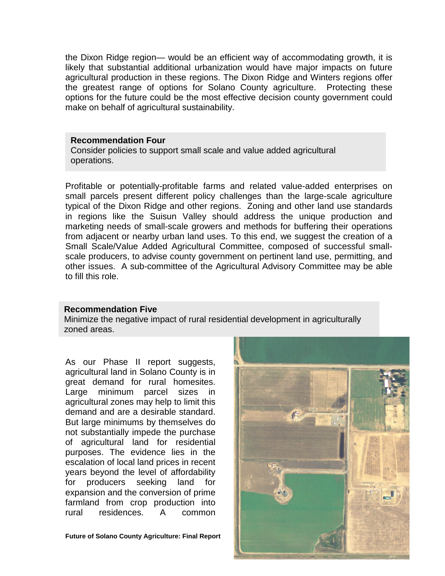the Dixon Ridge region— would be an efficient way of accommodating growth, it is likely that substantial additional urbanization would have major impacts on future agricultural production in these regions. The Dixon Ridge and Winters regions offer the greatest range of options for Solano County agriculture. Protecting these options for the future could be the most effective decision county government could make on behalf of agricultural sustainability.

#### **Recommendation Four**

Consider policies to support small scale and value added agricultural operations.

Profitable or potentially-profitable farms and related value-added enterprises on small parcels present different policy challenges than the large-scale agriculture typical of the Dixon Ridge and other regions. Zoning and other land use standards in regions like the Suisun Valley should address the unique production and marketing needs of small-scale growers and methods for buffering their operations from adjacent or nearby urban land uses. To this end, we suggest the creation of a Small Scale/Value Added Agricultural Committee, composed of successful smallscale producers, to advise county government on pertinent land use, permitting, and other issues. A sub-committee of the Agricultural Advisory Committee may be able to fill this role.

#### **Recommendation Five**

Minimize the negative impact of rural residential development in agriculturally zoned areas.

As our Phase II report suggests, agricultural land in Solano County is in great demand for rural homesites. Large minimum parcel sizes in agricultural zones may help to limit this demand and are a desirable standard. But large minimums by themselves do not substantially impede the purchase of agricultural land for residential purposes. The evidence lies in the escalation of local land prices in recent years beyond the level of affordability for producers seeking land for expansion and the conversion of prime farmland from crop production into rural residences. A common

**Future of Solano County Agriculture: Final Report** 

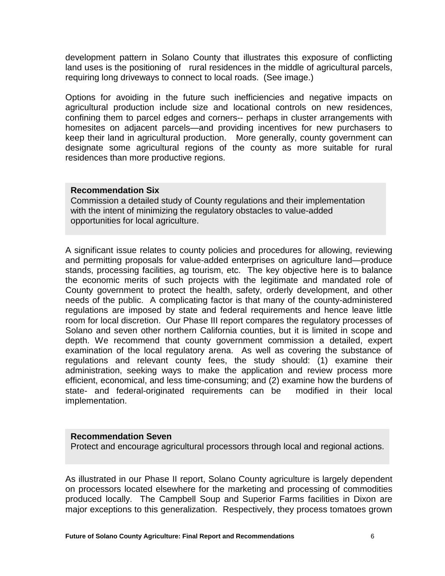development pattern in Solano County that illustrates this exposure of conflicting land uses is the positioning of rural residences in the middle of agricultural parcels, requiring long driveways to connect to local roads. (See image.)

Options for avoiding in the future such inefficiencies and negative impacts on agricultural production include size and locational controls on new residences, confining them to parcel edges and corners-- perhaps in cluster arrangements with homesites on adjacent parcels—and providing incentives for new purchasers to keep their land in agricultural production. More generally, county government can designate some agricultural regions of the county as more suitable for rural residences than more productive regions.

#### **Recommendation Six**

Commission a detailed study of County regulations and their implementation with the intent of minimizing the regulatory obstacles to value-added opportunities for local agriculture.

A significant issue relates to county policies and procedures for allowing, reviewing and permitting proposals for value-added enterprises on agriculture land—produce stands, processing facilities, ag tourism, etc. The key objective here is to balance the economic merits of such projects with the legitimate and mandated role of County government to protect the health, safety, orderly development, and other needs of the public. A complicating factor is that many of the county-administered regulations are imposed by state and federal requirements and hence leave little room for local discretion. Our Phase III report compares the regulatory processes of Solano and seven other northern California counties, but it is limited in scope and depth. We recommend that county government commission a detailed, expert examination of the local regulatory arena. As well as covering the substance of regulations and relevant county fees, the study should: (1) examine their administration, seeking ways to make the application and review process more efficient, economical, and less time-consuming; and (2) examine how the burdens of state- and federal-originated requirements can be modified in their local implementation.

#### **Recommendation Seven**

Protect and encourage agricultural processors through local and regional actions.

As illustrated in our Phase II report, Solano County agriculture is largely dependent on processors located elsewhere for the marketing and processing of commodities produced locally. The Campbell Soup and Superior Farms facilities in Dixon are major exceptions to this generalization. Respectively, they process tomatoes grown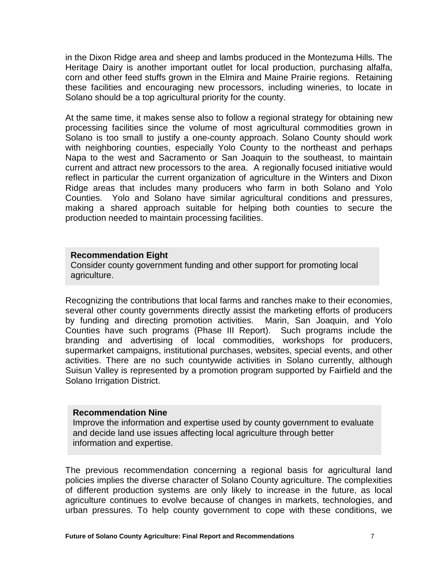in the Dixon Ridge area and sheep and lambs produced in the Montezuma Hills. The Heritage Dairy is another important outlet for local production, purchasing alfalfa, corn and other feed stuffs grown in the Elmira and Maine Prairie regions. Retaining these facilities and encouraging new processors, including wineries, to locate in Solano should be a top agricultural priority for the county.

At the same time, it makes sense also to follow a regional strategy for obtaining new processing facilities since the volume of most agricultural commodities grown in Solano is too small to justify a one-county approach. Solano County should work with neighboring counties, especially Yolo County to the northeast and perhaps Napa to the west and Sacramento or San Joaquin to the southeast, to maintain current and attract new processors to the area. A regionally focused initiative would reflect in particular the current organization of agriculture in the Winters and Dixon Ridge areas that includes many producers who farm in both Solano and Yolo Counties. Yolo and Solano have similar agricultural conditions and pressures, making a shared approach suitable for helping both counties to secure the production needed to maintain processing facilities.

#### **Recommendation Eight**

Consider county government funding and other support for promoting local agriculture.

Recognizing the contributions that local farms and ranches make to their economies, several other county governments directly assist the marketing efforts of producers by funding and directing promotion activities. Marin, San Joaquin, and Yolo Counties have such programs (Phase III Report). Such programs include the branding and advertising of local commodities, workshops for producers, supermarket campaigns, institutional purchases, websites, special events, and other activities. There are no such countywide activities in Solano currently, although Suisun Valley is represented by a promotion program supported by Fairfield and the Solano Irrigation District.

#### **Recommendation Nine**

Improve the information and expertise used by county government to evaluate and decide land use issues affecting local agriculture through better information and expertise.

The previous recommendation concerning a regional basis for agricultural land policies implies the diverse character of Solano County agriculture. The complexities of different production systems are only likely to increase in the future, as local agriculture continues to evolve because of changes in markets, technologies, and urban pressures. To help county government to cope with these conditions, we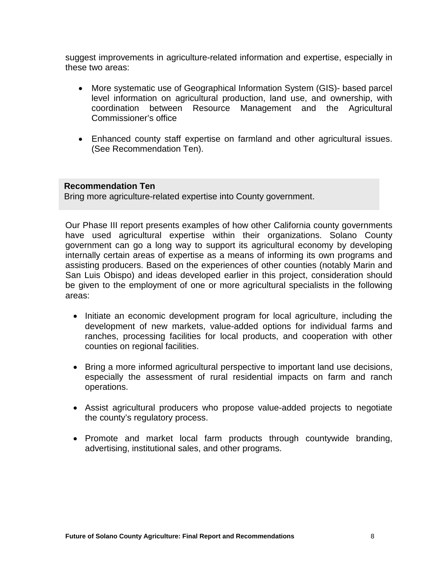suggest improvements in agriculture-related information and expertise, especially in these two areas:

- More systematic use of Geographical Information System (GIS)- based parcel level information on agricultural production, land use, and ownership, with coordination between Resource Management and the Agricultural Commissioner's office
- Enhanced county staff expertise on farmland and other agricultural issues. (See Recommendation Ten).

#### **Recommendation Ten**

Bring more agriculture-related expertise into County government.

Our Phase III report presents examples of how other California county governments have used agricultural expertise within their organizations. Solano County government can go a long way to support its agricultural economy by developing internally certain areas of expertise as a means of informing its own programs and assisting producers. Based on the experiences of other counties (notably Marin and San Luis Obispo) and ideas developed earlier in this project, consideration should be given to the employment of one or more agricultural specialists in the following areas:

- Initiate an economic development program for local agriculture, including the development of new markets, value-added options for individual farms and ranches, processing facilities for local products, and cooperation with other counties on regional facilities.
- Bring a more informed agricultural perspective to important land use decisions, especially the assessment of rural residential impacts on farm and ranch operations.
- Assist agricultural producers who propose value-added projects to negotiate the county's regulatory process.
- Promote and market local farm products through countywide branding, advertising, institutional sales, and other programs.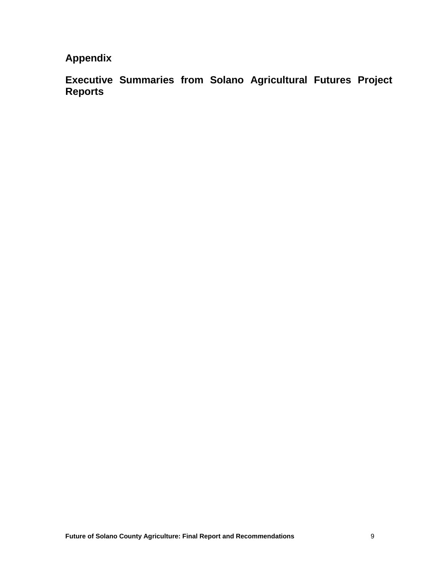## **Appendix**

**Executive Summaries from Solano Agricultural Futures Project Reports**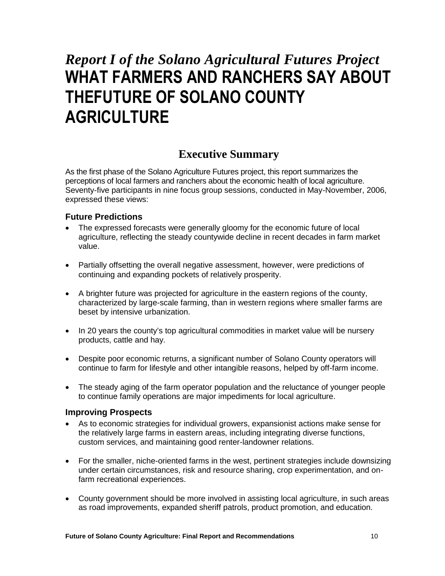# *Report I of the Solano Agricultural Futures Project* **WHAT FARMERS AND RANCHERS SAY ABOUT THEFUTURE OF SOLANO COUNTY AGRICULTURE**

### **Executive Summary**

As the first phase of the Solano Agriculture Futures project, this report summarizes the perceptions of local farmers and ranchers about the economic health of local agriculture. Seventy-five participants in nine focus group sessions, conducted in May-November, 2006, expressed these views:

#### **Future Predictions**

- The expressed forecasts were generally gloomy for the economic future of local agriculture, reflecting the steady countywide decline in recent decades in farm market value.
- Partially offsetting the overall negative assessment, however, were predictions of continuing and expanding pockets of relatively prosperity.
- A brighter future was projected for agriculture in the eastern regions of the county, characterized by large-scale farming, than in western regions where smaller farms are beset by intensive urbanization.
- In 20 years the county's top agricultural commodities in market value will be nursery products, cattle and hay.
- Despite poor economic returns, a significant number of Solano County operators will continue to farm for lifestyle and other intangible reasons, helped by off-farm income.
- The steady aging of the farm operator population and the reluctance of younger people to continue family operations are major impediments for local agriculture.

#### **Improving Prospects**

- As to economic strategies for individual growers, expansionist actions make sense for the relatively large farms in eastern areas, including integrating diverse functions, custom services, and maintaining good renter-landowner relations.
- For the smaller, niche-oriented farms in the west, pertinent strategies include downsizing under certain circumstances, risk and resource sharing, crop experimentation, and onfarm recreational experiences.
- County government should be more involved in assisting local agriculture, in such areas as road improvements, expanded sheriff patrols, product promotion, and education.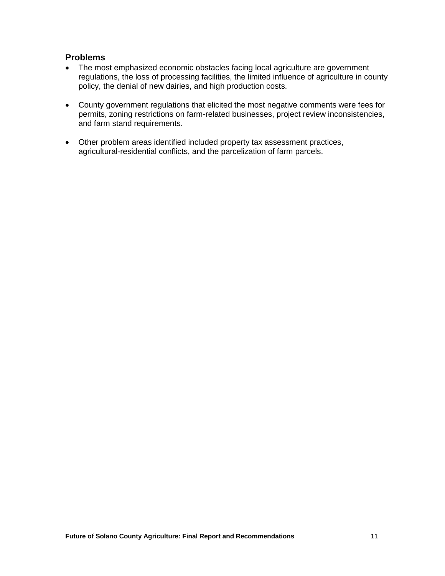#### **Problems**

- The most emphasized economic obstacles facing local agriculture are government regulations, the loss of processing facilities, the limited influence of agriculture in county policy, the denial of new dairies, and high production costs.
- County government regulations that elicited the most negative comments were fees for permits, zoning restrictions on farm-related businesses, project review inconsistencies, and farm stand requirements.
- Other problem areas identified included property tax assessment practices, agricultural-residential conflicts, and the parcelization of farm parcels.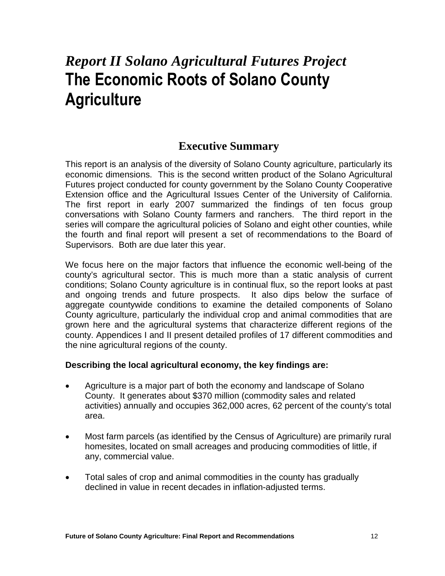## *Report II Solano Agricultural Futures Project* **The Economic Roots of Solano County Agriculture**

### **Executive Summary**

This report is an analysis of the diversity of Solano County agriculture, particularly its economic dimensions. This is the second written product of the Solano Agricultural Futures project conducted for county government by the Solano County Cooperative Extension office and the Agricultural Issues Center of the University of California. The first report in early 2007 summarized the findings of ten focus group conversations with Solano County farmers and ranchers. The third report in the series will compare the agricultural policies of Solano and eight other counties, while the fourth and final report will present a set of recommendations to the Board of Supervisors. Both are due later this year.

We focus here on the major factors that influence the economic well-being of the county's agricultural sector. This is much more than a static analysis of current conditions; Solano County agriculture is in continual flux, so the report looks at past and ongoing trends and future prospects. It also dips below the surface of aggregate countywide conditions to examine the detailed components of Solano County agriculture, particularly the individual crop and animal commodities that are grown here and the agricultural systems that characterize different regions of the county. Appendices I and II present detailed profiles of 17 different commodities and the nine agricultural regions of the county.

#### **Describing the local agricultural economy, the key findings are:**

- Agriculture is a major part of both the economy and landscape of Solano County. It generates about \$370 million (commodity sales and related activities) annually and occupies 362,000 acres, 62 percent of the county's total area.
- Most farm parcels (as identified by the Census of Agriculture) are primarily rural homesites, located on small acreages and producing commodities of little, if any, commercial value.
- Total sales of crop and animal commodities in the county has gradually declined in value in recent decades in inflation-adjusted terms.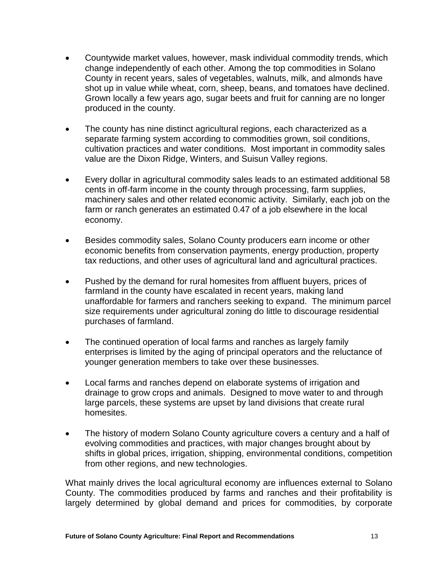- Countywide market values, however, mask individual commodity trends, which change independently of each other. Among the top commodities in Solano County in recent years, sales of vegetables, walnuts, milk, and almonds have shot up in value while wheat, corn, sheep, beans, and tomatoes have declined. Grown locally a few years ago, sugar beets and fruit for canning are no longer produced in the county.
- The county has nine distinct agricultural regions, each characterized as a separate farming system according to commodities grown, soil conditions, cultivation practices and water conditions. Most important in commodity sales value are the Dixon Ridge, Winters, and Suisun Valley regions.
- Every dollar in agricultural commodity sales leads to an estimated additional 58 cents in off-farm income in the county through processing, farm supplies, machinery sales and other related economic activity. Similarly, each job on the farm or ranch generates an estimated 0.47 of a job elsewhere in the local economy.
- Besides commodity sales, Solano County producers earn income or other economic benefits from conservation payments, energy production, property tax reductions, and other uses of agricultural land and agricultural practices.
- Pushed by the demand for rural homesites from affluent buyers, prices of farmland in the county have escalated in recent years, making land unaffordable for farmers and ranchers seeking to expand. The minimum parcel size requirements under agricultural zoning do little to discourage residential purchases of farmland.
- The continued operation of local farms and ranches as largely family enterprises is limited by the aging of principal operators and the reluctance of younger generation members to take over these businesses.
- Local farms and ranches depend on elaborate systems of irrigation and drainage to grow crops and animals. Designed to move water to and through large parcels, these systems are upset by land divisions that create rural homesites.
- The history of modern Solano County agriculture covers a century and a half of evolving commodities and practices, with major changes brought about by shifts in global prices, irrigation, shipping, environmental conditions, competition from other regions, and new technologies.

What mainly drives the local agricultural economy are influences external to Solano County. The commodities produced by farms and ranches and their profitability is largely determined by global demand and prices for commodities, by corporate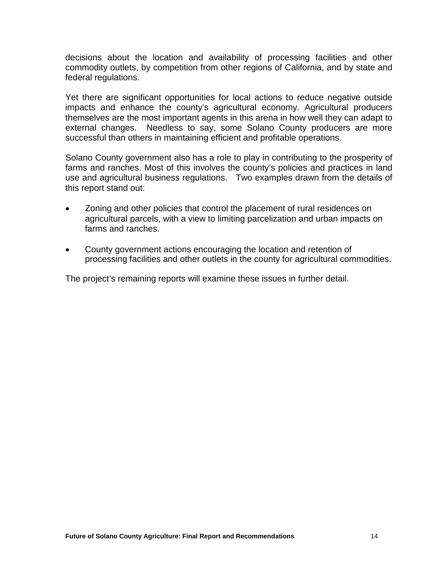decisions about the location and availability of processing facilities and other commodity outlets, by competition from other regions of California, and by state and federal regulations.

Yet there are significant opportunities for local actions to reduce negative outside impacts and enhance the county's agricultural economy. Agricultural producers themselves are the most important agents in this arena in how well they can adapt to external changes. Needless to say, some Solano County producers are more successful than others in maintaining efficient and profitable operations.

Solano County government also has a role to play in contributing to the prosperity of farms and ranches. Most of this involves the county's policies and practices in land use and agricultural business regulations. Two examples drawn from the details of this report stand out:

- Zoning and other policies that control the placement of rural residences on agricultural parcels, with a view to limiting parcelization and urban impacts on farms and ranches.
- County government actions encouraging the location and retention of processing facilities and other outlets in the county for agricultural commodities.

The project's remaining reports will examine these issues in further detail.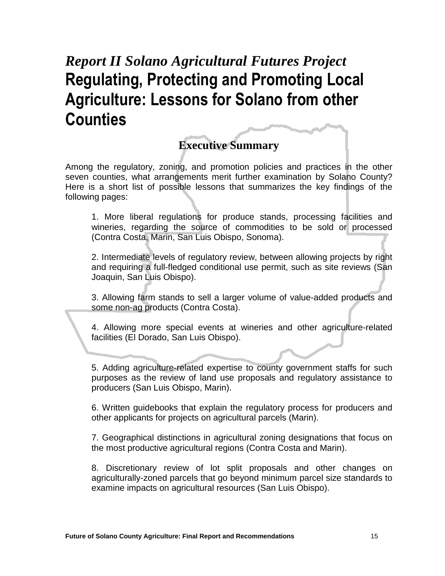# *Report II Solano Agricultural Futures Project* **Regulating, Protecting and Promoting Local Agriculture: Lessons for Solano from other Counties**

### **Executive Summary**

Among the regulatory, zoning, and promotion policies and practices in the other seven counties, what arrangements merit further examination by Solano County? Here is a short list of possible lessons that summarizes the key findings of the following pages:

1. More liberal regulations for produce stands, processing facilities and wineries, regarding the source of commodities to be sold or processed (Contra Costa, Marin, San Luis Obispo, Sonoma).

2. Intermediate levels of regulatory review, between allowing projects by right and requiring a full-fledged conditional use permit, such as site reviews (San Joaquin, San Luis Obispo).

3. Allowing farm stands to sell a larger volume of value-added products and some non-ag products (Contra Costa).

4. Allowing more special events at wineries and other agriculture-related facilities (El Dorado, San Luis Obispo).

5. Adding agriculture-related expertise to county government staffs for such purposes as the review of land use proposals and regulatory assistance to producers (San Luis Obispo, Marin).

6. Written guidebooks that explain the regulatory process for producers and other applicants for projects on agricultural parcels (Marin).

7. Geographical distinctions in agricultural zoning designations that focus on the most productive agricultural regions (Contra Costa and Marin).

8. Discretionary review of lot split proposals and other changes on agriculturally-zoned parcels that go beyond minimum parcel size standards to examine impacts on agricultural resources (San Luis Obispo).